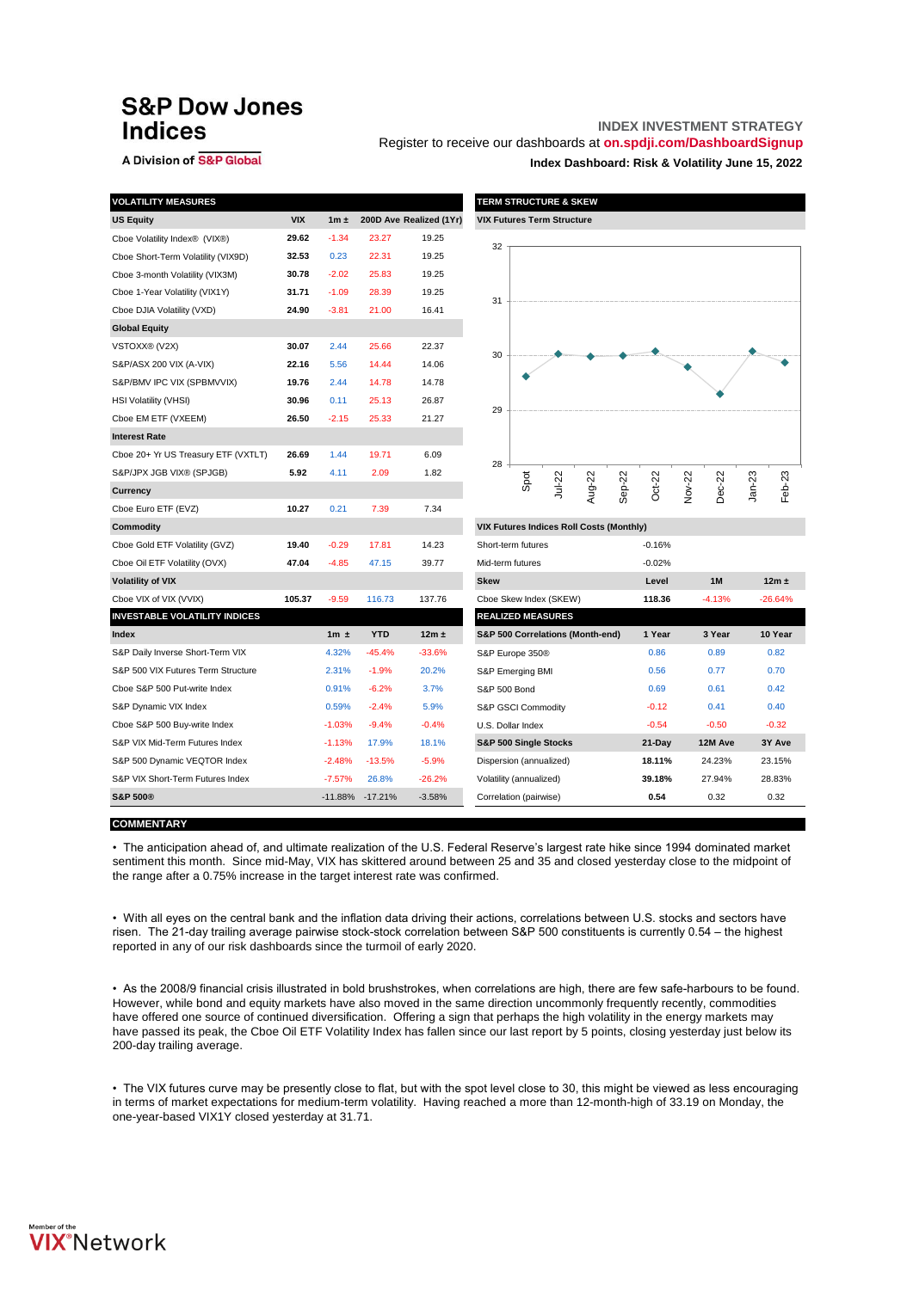# **S&P Dow Jones Indices**

## A Division of S&P Global

# **INDEX INVESTMENT STRATEGY**

Register to receive our dashboards at **[on.spdji.com/DashboardSignup](https://go.spdji.com/DashboardSignup?src=VIXDashboard)**

**Index Dashboard: Risk & Volatility June 15, 2022**

| <b>VOLATILITY MEASURES</b>           |            |           |            |                         | <b>TERM STRUCTURE &amp; SKEW</b>                |      |        |        |          |          |        |          |          |           |
|--------------------------------------|------------|-----------|------------|-------------------------|-------------------------------------------------|------|--------|--------|----------|----------|--------|----------|----------|-----------|
| <b>US Equity</b>                     | <b>VIX</b> | $1m \pm$  |            | 200D Ave Realized (1Yr) | <b>VIX Futures Term Structure</b>               |      |        |        |          |          |        |          |          |           |
| Cboe Volatility Index® (VIX®)        | 29.62      | $-1.34$   | 23.27      | 19.25                   | 32                                              |      |        |        |          |          |        |          |          |           |
| Cboe Short-Term Volatility (VIX9D)   | 32.53      | 0.23      | 22.31      | 19.25                   |                                                 |      |        |        |          |          |        |          |          |           |
| Cboe 3-month Volatility (VIX3M)      | 30.78      | $-2.02$   | 25.83      | 19.25                   |                                                 |      |        |        |          |          |        |          |          |           |
| Cboe 1-Year Volatility (VIX1Y)       | 31.71      | $-1.09$   | 28.39      | 19.25                   |                                                 |      |        |        |          |          |        |          |          |           |
| Cboe DJIA Volatility (VXD)           | 24.90      | $-3.81$   | 21.00      | 16.41                   | 31                                              |      |        |        |          |          |        |          |          |           |
| <b>Global Equity</b>                 |            |           |            |                         |                                                 |      |        |        |          |          |        |          |          |           |
| VSTOXX® (V2X)                        | 30.07      | 2.44      | 25.66      | 22.37                   |                                                 |      |        |        |          |          |        |          |          |           |
| S&P/ASX 200 VIX (A-VIX)              | 22.16      | 5.56      | 14.44      | 14.06                   | 30                                              |      |        |        |          |          |        |          |          |           |
| S&P/BMV IPC VIX (SPBMVVIX)           | 19.76      | 2.44      | 14.78      | 14.78                   |                                                 |      |        |        |          |          |        |          |          |           |
| <b>HSI Volatility (VHSI)</b>         | 30.96      | 0.11      | 25.13      | 26.87                   |                                                 |      |        |        |          |          |        |          |          |           |
| Cboe EM ETF (VXEEM)                  | 26.50      | $-2.15$   | 25.33      | 21.27                   | 29                                              |      |        |        |          |          |        |          |          |           |
| <b>Interest Rate</b>                 |            |           |            |                         |                                                 |      |        |        |          |          |        |          |          |           |
| Cboe 20+ Yr US Treasury ETF (VXTLT)  | 26.69      | 1.44      | 19.71      | 6.09                    |                                                 |      |        |        |          |          |        |          |          |           |
| S&P/JPX JGB VIX® (SPJGB)             | 5.92       | 4.11      | 2.09       | 1.82                    | 28                                              |      |        |        |          |          |        |          |          |           |
| Currency                             |            |           |            |                         |                                                 | Spot | Jul-22 | Aug-22 | $Sep-22$ | Oct-22   | Nov-22 | Dec-22   | $Jan-23$ | Feb-23    |
| Cboe Euro ETF (EVZ)                  | 10.27      | 0.21      | 7.39       | 7.34                    |                                                 |      |        |        |          |          |        |          |          |           |
| Commodity                            |            |           |            |                         | <b>VIX Futures Indices Roll Costs (Monthly)</b> |      |        |        |          |          |        |          |          |           |
| Cboe Gold ETF Volatility (GVZ)       | 19.40      | $-0.29$   | 17.81      | 14.23                   | Short-term futures                              |      |        |        |          | $-0.16%$ |        |          |          |           |
| Cboe Oil ETF Volatility (OVX)        | 47.04      | $-4.85$   | 47.15      | 39.77                   | Mid-term futures                                |      |        |        |          | $-0.02%$ |        |          |          |           |
| <b>Volatility of VIX</b>             |            |           |            |                         | <b>Skew</b>                                     |      |        |        |          | Level    |        | 1M       |          | $12m \pm$ |
| Cboe VIX of VIX (VVIX)               | 105.37     | $-9.59$   | 116.73     | 137.76                  | Cboe Skew Index (SKEW)                          |      |        |        |          | 118.36   |        | $-4.13%$ |          | $-26.64%$ |
| <b>INVESTABLE VOLATILITY INDICES</b> |            |           |            |                         | <b>REALIZED MEASURES</b>                        |      |        |        |          |          |        |          |          |           |
| Index                                |            | 1 $m \pm$ | <b>YTD</b> | $12m \pm$               | S&P 500 Correlations (Month-end)                |      |        |        |          | 1 Year   |        | 3 Year   |          | 10 Year   |
| S&P Daily Inverse Short-Term VIX     |            | 4.32%     | $-45.4%$   | $-33.6%$                | S&P Europe 350®                                 |      |        |        |          | 0.86     |        | 0.89     |          | 0.82      |
| S&P 500 VIX Futures Term Structure   |            | 2.31%     | $-1.9%$    | 20.2%                   | S&P Emerging BMI                                |      |        |        |          | 0.56     |        | 0.77     |          | 0.70      |
| Cboe S&P 500 Put-write Index         |            | 0.91%     | $-6.2%$    | 3.7%                    | S&P 500 Bond                                    |      |        |        |          | 0.69     |        | 0.61     |          | 0.42      |
| S&P Dynamic VIX Index                |            | 0.59%     | $-2.4%$    | 5.9%                    | S&P GSCI Commodity                              |      |        |        |          | $-0.12$  |        | 0.41     |          | 0.40      |
| Cboe S&P 500 Buy-write Index         |            | $-1.03%$  | $-9.4%$    | $-0.4%$                 | U.S. Dollar Index                               |      |        |        |          | $-0.54$  |        | $-0.50$  |          | $-0.32$   |
| S&P VIX Mid-Term Futures Index       |            | $-1.13%$  | 17.9%      | 18.1%                   | S&P 500 Single Stocks                           |      |        |        |          | 21-Day   |        | 12M Ave  |          | 3Y Ave    |
| S&P 500 Dynamic VEQTOR Index         |            | $-2.48%$  | $-13.5%$   | $-5.9%$                 | Dispersion (annualized)                         |      |        |        |          | 18.11%   |        | 24.23%   |          | 23.15%    |
| S&P VIX Short-Term Futures Index     |            | $-7.57%$  | 26.8%      | $-26.2%$                | Volatility (annualized)                         |      |        |        |          | 39.18%   |        | 27.94%   |          | 28.83%    |
| <b>S&amp;P 500®</b>                  |            | $-11.88%$ | $-17.21%$  | $-3.58%$                | Correlation (pairwise)                          |      |        |        |          | 0.54     |        | 0.32     |          | 0.32      |



| VIX Futures Indices Roll Costs (Monthly)    |          |           |           |
|---------------------------------------------|----------|-----------|-----------|
| Short-term futures                          | $-0.16%$ |           |           |
| Mid-term futures                            | $-0.02%$ |           |           |
| <b>Skew</b>                                 | Level    | <b>1M</b> | $12m \pm$ |
| Cboe Skew Index (SKEW)                      | 118.36   | $-4.13%$  | $-26.64%$ |
| <b>REALIZED MEASURES</b>                    |          |           |           |
| <b>S&amp;P 500 Correlations (Month-end)</b> | 1 Year   | 3 Year    | 10 Year   |
| S&P Europe 350®                             | 0.86     | 0.89      | 0.82      |
| S&P Emerging BMI                            | 0.56     | 0.77      | 0.70      |
| S&P 500 Bond                                | 0.69     | 0.61      | 0.42      |
| S&P GSCI Commodity                          | $-0.12$  | 0.41      | 0.40      |
| U.S. Dollar Index                           | $-0.54$  | $-0.50$   | $-0.32$   |
| S&P 500 Single Stocks                       | 21-Dav   | 12M Ave   | 3Y Ave    |
| Dispersion (annualized)                     | 18.11%   | 24.23%    | 23.15%    |
| Volatility (annualized)                     | 39.18%   | 27.94%    | 28.83%    |
| Correlation (pairwise)                      | 0.54     | 0.32      | 0.32      |

**COMMENTARY**

• The anticipation ahead of, and ultimate realization of the U.S. Federal Reserve's largest rate hike since 1994 dominated market sentiment this month. Since mid-May, VIX has skittered around between 25 and 35 and closed yesterday close to the midpoint of the range after a 0.75% increase in the target interest rate was confirmed.

• With all eyes on the central bank and the inflation data driving their actions, correlations between U.S. stocks and sectors have risen. The 21-day trailing average pairwise stock-stock correlation between S&P 500 constituents is currently 0.54 – the highest reported in any of our risk dashboards since the turmoil of early 2020.

• As the 2008/9 financial crisis illustrated in bold brushstrokes, when correlations are high, there are few safe-harbours to be found. However, while bond and equity markets have also moved in the same direction uncommonly frequently recently, commodities have offered one source of continued diversification. Offering a sign that perhaps the high volatility in the energy markets may have passed its peak, the Cboe Oil ETF Volatility Index has fallen since our last report by 5 points, closing yesterday just below its 200-day trailing average.

• The VIX futures curve may be presently close to flat, but with the spot level close to 30, this might be viewed as less encouraging in terms of market expectations for medium-term volatility. Having reached a more than 12-month-high of 33.19 on Monday, the one-year-based VIX1Y closed yesterday at 31.71.